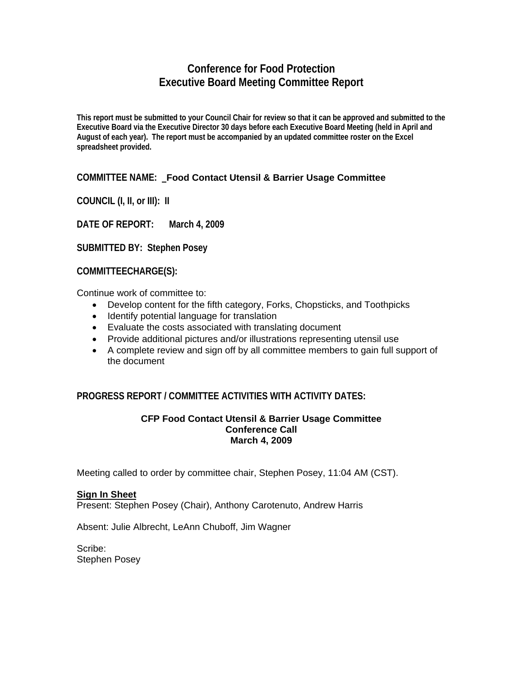# **Conference for Food Protection Executive Board Meeting Committee Report**

**This report must be submitted to your Council Chair for review so that it can be approved and submitted to the Executive Board via the Executive Director 30 days before each Executive Board Meeting (held in April and August of each year). The report must be accompanied by an updated committee roster on the Excel spreadsheet provided.** 

# **COMMITTEE NAME: Food Contact Utensil & Barrier Usage Committee**

**COUNCIL (I, II, or III): II** 

**DATE OF REPORT: March 4, 2009**

**SUBMITTED BY: Stephen Posey** 

**COMMITTEECHARGE(S):** 

Continue work of committee to:

- Develop content for the fifth category, Forks, Chopsticks, and Toothpicks
- Identify potential language for translation
- Evaluate the costs associated with translating document
- Provide additional pictures and/or illustrations representing utensil use
- A complete review and sign off by all committee members to gain full support of the document

# **PROGRESS REPORT / COMMITTEE ACTIVITIES WITH ACTIVITY DATES:**

#### **CFP Food Contact Utensil & Barrier Usage Committee Conference Call March 4, 2009**

Meeting called to order by committee chair, Stephen Posey, 11:04 AM (CST).

## **Sign In Sheet**

Present: Stephen Posey (Chair), Anthony Carotenuto, Andrew Harris

Absent: Julie Albrecht, LeAnn Chuboff, Jim Wagner

Scribe: Stephen Posey